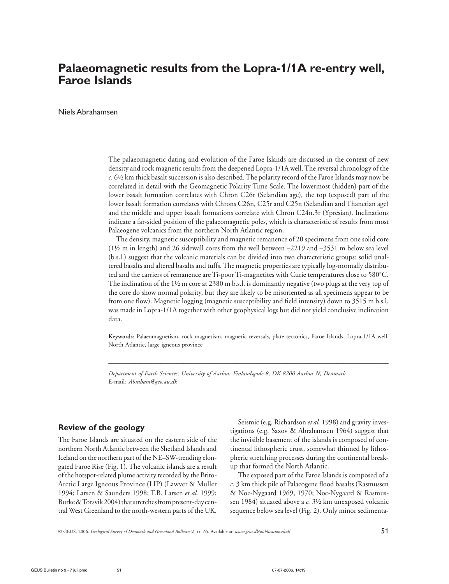# **Palaeomagnetic results from the Lopra-1/1A re-entry well, Faroe Islands**

Niels Abrahamsen

The palaeomagnetic dating and evolution of the Faroe Islands are discussed in the context of new density and rock magnetic results from the deepened Lopra-1/1A well. The reversal chronology of the *c*. 6½ km thick basalt succession is also described. The polarity record of the Faroe Islands may now be correlated in detail with the Geomagnetic Polarity Time Scale. The lowermost (hidden) part of the lower basalt formation correlates with Chron C26r (Selandian age), the top (exposed) part of the lower basalt formation correlates with Chrons C26n, C25r and C25n (Selandian and Thanetian age) and the middle and upper basalt formations correlate with Chron C24n.3r (Ypresian). Inclinations indicate a far-sided position of the palaeomagnetic poles, which is characteristic of results from most Palaeogene volcanics from the northern North Atlantic region.

The density, magnetic susceptibility and magnetic remanence of 20 specimens from one solid core (1½ m in length) and 26 sidewall cores from the well between –2219 and –3531 m below sea level (b.s.l.) suggest that the volcanic materials can be divided into two characteristic groups: solid unaltered basalts and altered basalts and tuffs. The magnetic properties are typically log-normally distributed and the carriers of remanence are Ti-poor Ti-magnetites with Curie temperatures close to 580°C. The inclination of the 1½ m core at 2380 m b.s.l. is dominantly negative (two plugs at the very top of the core do show normal polarity, but they are likely to be misoriented as all specimens appear to be from one flow). Magnetic logging (magnetic susceptibility and field intensity) down to 3515 m b.s.l. was made in Lopra-1/1A together with other geophysical logs but did not yield conclusive inclination data.

**Keywords**: Palaeomagnetism, rock magnetism, magnetic reversals, plate tectonics, Faroe Islands, Lopra-1/1A well, North Atlantic, large igneous province

 $\_$  ,  $\_$  ,  $\_$  ,  $\_$  ,  $\_$  ,  $\_$  ,  $\_$  ,  $\_$  ,  $\_$  ,  $\_$  ,  $\_$  ,  $\_$  ,  $\_$  ,  $\_$  ,  $\_$  ,  $\_$  ,  $\_$  ,  $\_$  ,  $\_$  ,  $\_$  ,  $\_$  ,  $\_$  ,  $\_$  ,  $\_$  ,  $\_$  ,  $\_$  ,  $\_$  ,  $\_$  ,  $\_$  ,  $\_$  ,  $\_$  ,  $\_$  ,  $\_$  ,  $\_$  ,  $\_$  ,  $\_$  ,  $\_$  ,

*Department of Earth Sciences, University of Aarhus, Finlandsgade 8, DK-8200 Aarhus N, Denmark.* E-mail*: Abraham@geo.au.dk*

# **Review of the geology**

The Faroe Islands are situated on the eastern side of the northern North Atlantic between the Shetland Islands and Iceland on the northern part of the NE*–*SW-trending elongated Faroe Rise (Fig. 1). The volcanic islands are a result of the hotspot-related plume activity recorded by the Brito-Arctic Large Igneous Province (LIP) (Lawver & Muller 1994; Larsen & Saunders 1998; T.B. Larsen *et al.* 1999; Burke & Torsvik 2004) that stretches from present-day central West Greenland to the north-western parts of the UK.

Seismic (e.g. Richardson *et al.* 1998) and gravity investigations (e.g. Saxov & Abrahamsen 1964) suggest that the invisible basement of the islands is composed of continental lithospheric crust, somewhat thinned by lithospheric stretching processes during the continental breakup that formed the North Atlantic.

The exposed part of the Faroe Islands is composed of a *c.* 3 km thick pile of Palaeogene flood basalts (Rasmussen & Noe-Nygaard 1969, 1970; Noe-Nygaard & Rasmussen 1984) situated above a *c.* 3½ km unexposed volcanic sequence below sea level (Fig. 2). Only minor sedimenta-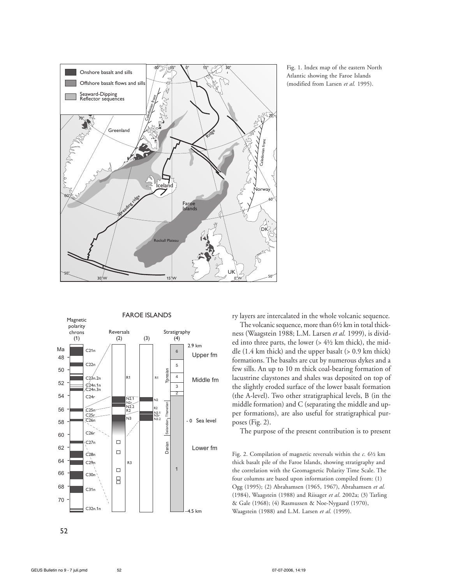

Fig. 1. Index map of the eastern North Atlantic showing the Faroe Islands (modified from Larsen *et al.* 1995).



ry layers are intercalated in the whole volcanic sequence.

The volcanic sequence, more than 6½ km in total thickness (Waagstein 1988; L.M. Larsen *et al.* 1999), is divided into three parts, the lower  $(> 4\frac{1}{2}$  km thick), the middle (1.4 km thick) and the upper basalt (> 0.9 km thick) formations. The basalts are cut by numerous dykes and a few sills. An up to 10 m thick coal-bearing formation of lacustrine claystones and shales was deposited on top of the slightly eroded surface of the lower basalt formation (the A-level). Two other stratigraphical levels, B (in the middle formation) and C (separating the middle and upper formations), are also useful for stratigraphical purposes (Fig. 2).

The purpose of the present contribution is to present

Fig. 2. Compilation of magnetic reversals within the *c.* 6½ km thick basalt pile of the Faroe Islands, showing stratigraphy and the correlation with the Geomagnetic Polarity Time Scale. The four columns are based upon information compiled from: (1) Ogg (1995); (2) Abrahamsen (1965, 1967), Abrahamsen *et al.* (1984), Waagstein (1988) and Riisager *et al*. 2002a; (3) Tarling & Gale (1968); (4) Rasmussen & Noe-Nygaard (1970), Waagstein (1988) and L.M. Larsen *et al.* (1999).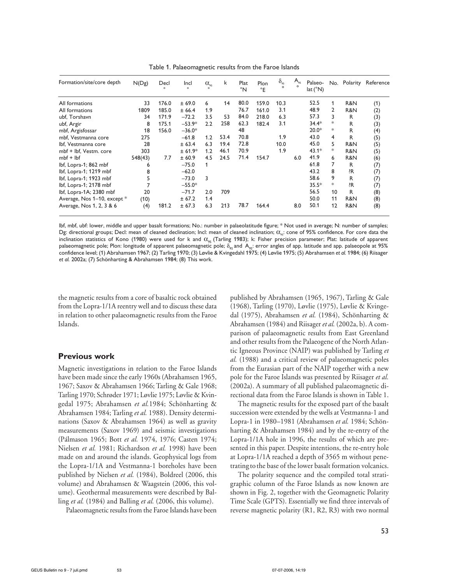| Formation/site/core depth   | N(Dg)   | Decl<br>$\circ$ | Incl<br>$\circ$ | $\alpha_{\scriptscriptstyle 95}$<br>$\circ$ | k    | Plat<br>$\degree N$ | Plon<br>$^{\circ}E$ | $\delta_{\scriptscriptstyle{95}}$<br>$\Omega$ | $A_{\scriptscriptstyle{95}}$ | Palaeo-<br>lat (°N) |                |     | No. Polarity Reference |
|-----------------------------|---------|-----------------|-----------------|---------------------------------------------|------|---------------------|---------------------|-----------------------------------------------|------------------------------|---------------------|----------------|-----|------------------------|
| All formations              | 33      | 176.0           | ± 69.0          | 6                                           | 14   | 80.0                | 159.0               | 10.3                                          |                              | 52.5                | 1              | R&N | (1)                    |
| All formations              | 1809    | 185.0           | ± 66.4          | 1.9                                         |      | 76.7                | 161.0               | 3.1                                           |                              | 48.9                | $\mathbf{2}$   | R&N | (2)                    |
| ubf, Torshavn               | 34      | 171.9           | $-72.2$         | 3.5                                         | 53   | 84.0                | 218.0               | 6.3                                           |                              | 57.3                | 3              | R   | (3)                    |
| ubf, Argir                  | 8       | 175.1           | $-53.9*$        | 2.2                                         | 258  | 62.3                | 182.4               | 3.1                                           |                              | $34.4*$             | *              | R   | (3)                    |
| mbf, Argisfossar            | 18      | 156.0           | $-36.0*$        |                                             |      | 48                  |                     |                                               |                              | $20.0*$             | *              | R   | (4)                    |
| mbf, Vestmanna core         | 275     |                 | $-61.8$         | 1.2                                         | 53.4 | 70.8                |                     | 1.9                                           |                              | 43.0                | 4              | R   | (5)                    |
| Ibf, Vestmanna core         | 28      |                 | ± 63.4          | 6.3                                         | 19.4 | 72.8                |                     | 10.0                                          |                              | 45.0                | 5              | R&N | (5)                    |
| mbf + lbf, Vestm. core      | 303     |                 | $± 61.9*$       | 1.2                                         | 46.1 | 70.9                |                     | 1.9                                           |                              | $43.1*$             | $\ast$         | R&N | (5)                    |
| $mbf + lbf$                 | 548(43) | 7.7             | ± 60.9          | 4.5                                         | 24.5 | 71.4                | 154.7               |                                               | 6.0                          | 41.9                | 6              | R&N | (6)                    |
| lbf, Lopra-1; 862 mbf       | 6       |                 | $-75.0$         | 1                                           |      |                     |                     |                                               |                              | 61.8                | $\overline{7}$ | R   | (7)                    |
| lbf, Lopra-1; 1219 mbf      | 8       |                 | $-62.0$         |                                             |      |                     |                     |                                               |                              | 43.2                | 8              | ?R  | (7)                    |
| lbf, Lopra-1; 1923 mbf      | 5       |                 | $-73.0$         | 3                                           |      |                     |                     |                                               |                              | 58.6                | 9              | R   | (7)                    |
| lbf, Lopra-1; 2178 mbf      |         |                 | $-55.0*$        |                                             |      |                     |                     |                                               |                              | $35.5*$             | $\ast$         | ?R  | (7)                    |
| lbf, Lopra-1A; 2380 mbf     | 20      |                 | $-71.7$         | 2.0                                         | 709  |                     |                     |                                               |                              | 56.5                | 10             | R   | (8)                    |
| Average, Nos 1-10, except * | (10)    |                 | ± 67.2          | 1.4                                         |      |                     |                     |                                               |                              | 50.0                | 11             | R&N | (8)                    |
| Average, Nos 1, 2, 3 & 6    | (4)     | 181.2           | ± 67.3          | 6.3                                         | 213  | 78.7                | 164.4               |                                               | 8.0                          | 50.1                | 12             | R&N | (8)                    |

Table 1. Palaeomagnetic results from the Faroe Islands

lbf, mbf, ubf: lower, middle and upper basalt formations; No.: number in palaeolatitude figure; \* Not used in average; N: number of samples; Dg: directional groups; Decl: mean of cleaned declination; Incl: mean of cleaned inclination; α<sub>95</sub>: cone of 95% confidence. For core data the inclination statistics of Kono (1980) were used for k and  $\alpha_{95}$  (Tarling 1983); k: Fisher precision parameter; Plat: latitude of apparent palaeomagnetic pole; Plon: longitude of apparent palaeomagnetic pole;  $\delta_{\alpha\xi}$  and  $A_{\alpha\xi}$ : error angles of app. latitude and app. palaeopole at 95% confidence level; (1) Abrahamsen 1967; (2) Tarling 1970; (3) Løvlie & Kvingedahl 1975; (4) Løvlie 1975; (5) Abrahamsen *et al.* 1984; (6) Riisager *et al.* 2002a; (7) Schönharting & Abrahamsen 1984; (8) This work.

the magnetic results from a core of basaltic rock obtained from the Lopra-1/1A reentry well and to discuss these data in relation to other palaeomagnetic results from the Faroe Islands.

# **Previous work**

Magnetic investigations in relation to the Faroe Islands have been made since the early 1960s (Abrahamsen 1965, 1967; Saxov & Abrahamsen 1966; Tarling & Gale 1968; Tarling 1970; Schrøder 1971; Løvlie 1975; Løvlie & Kvingedal 1975; Abrahamsen *et al.*1984; Schönharting & Abrahamsen 1984; Tarling *et al.* 1988). Density determinations (Saxov & Abrahamsen 1964) as well as gravity measurements (Saxov 1969) and seismic investigations (Pálmason 1965; Bott *et al.* 1974, 1976; Casten 1974; Nielsen *et al.* 1981; Richardson *et al.* 1998) have been made on and around the islands. Geophysical logs from the Lopra-1/1A and Vestmanna-1 boreholes have been published by Nielsen *et al.* (1984), Boldreel (2006, this volume) and Abrahamsen & Waagstein (2006, this volume). Geothermal measurements were described by Balling *et al.* (1984) and Balling *et al.* (2006, this volume).

Palaeomagnetic results from the Faroe Islands have been

published by Abrahamsen (1965, 1967), Tarling & Gale (1968), Tarling (1970), Løvlie (1975), Løvlie & Kvingedal (1975), Abrahamsen *et al.* (1984), Schönharting & Abrahamsen (1984) and Riisager *et al.* (2002a, b). A comparison of palaeomagnetic results from East Greenland and other results from the Palaeogene of the North Atlantic Igneous Province (NAIP) was published by Tarling *et al.* (1988) and a critical review of palaeomagnetic poles from the Eurasian part of the NAIP together with a new pole for the Faroe Islands was presented by Riisager *et al.* (2002a). A summary of all published palaeomagnetic directional data from the Faroe Islands is shown in Table 1.

The magnetic results for the exposed part of the basalt succession were extended by the wells at Vestmanna-1 and Lopra-1 in 1980–1981 (Abrahamsen *et al.* 1984; Schönharting & Abrahamsen 1984) and by the re-entry of the Lopra-1/1A hole in 1996, the results of which are presented in this paper. Despite intentions, the re-entry hole at Lopra-1/1A reached a depth of 3565 m without penetrating to the base of the lower basalt formation volcanics.

The polarity sequence and the compiled total stratigraphic column of the Faroe Islands as now known are shown in Fig. 2, together with the Geomagnetic Polarity Time Scale (GPTS). Essentially we find three intervals of reverse magnetic polarity (R1, R2, R3) with two normal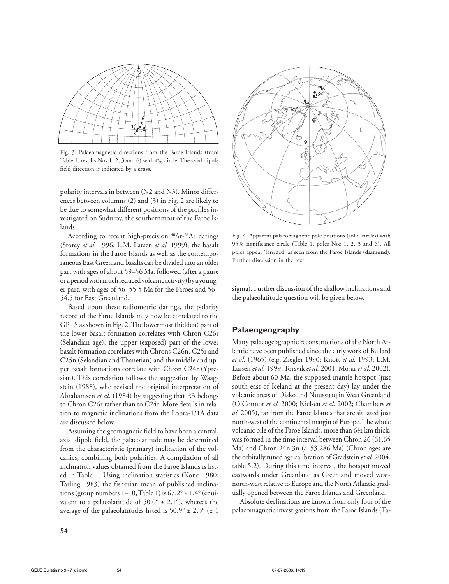

Fig. 3. Palaeomagnetic directions from the Faroe Islands (from Table 1, results Nos 1, 2, 3 and 6) with  $\alpha_{95}$  circle. The axial dipole field direction is indicated by a **cross**.

polarity intervals in between (N2 and N3). Minor differences between columns (2) and (3) in Fig. 2 are likely to be due to somewhat different positions of the profiles investigated on Suðuroy, the southernmost of the Faroe Islands.

According to recent high-precision <sup>40</sup>Ar-<sup>39</sup>Ar datings (Storey *et al.* 1996; L.M. Larsen *et al.* 1999), the basalt formations in the Faroe Islands as well as the contemporaneous East Greenland basalts can be divided into an older part with ages of about 59–56 Ma, followed (after a pause or a period with much reduced volcanic activity) by a younger part, with ages of 56–55.5 Ma for the Faroes and 56– 54.5 for East Greenland.

Based upon these radiometric datings, the polarity record of the Faroe Islands may now be correlated to the GPTS as shown in Fig. 2. The lowermost (hidden) part of the lower basalt formation correlates with Chron C26r (Selandian age), the upper (exposed) part of the lower basalt formation correlates with Chrons C26n, C25r and C25n (Selandian and Thanetian) and the middle and upper basalt formations correlate with Chron C24r (Ypresian). This correlation follows the suggestion by Waagstein (1988), who revised the original interpretation of Abrahamsen *et al.* (1984) by suggesting that R3 belongs to Chron C26r rather than to C24r. More details in relation to magnetic inclinations from the Lopra-1/1A data are discussed below.

Assuming the geomagnetic field to have been a central, axial dipole field, the palaeolatitude may be determined from the characteristic (primary) inclination of the volcanics, combining both polarities. A compilation of all inclination values obtained from the Faroe Islands is listed in Table 1. Using inclination statistics (Kono 1980; Tarling 1983) the fisherian mean of published inclinations (group numbers 1–10, Table 1) is  $67.2^\circ \pm 1.4^\circ$  (equivalent to a palaeolatitude of  $50.0^{\circ} \pm 2.1^{\circ}$ ), whereas the average of the palaeolatitudes listed is  $50.9^{\circ} \pm 2.3^{\circ}$  ( $\pm$  1



Fig. 4. Apparent palaeomagnetic pole positions (solid circles) with 95% significance circle (Table 1, poles Nos 1, 2, 3 and 6). All poles appear 'farsided' as seen from the Faroe Islands (**diamond**). Further discussion in the text.

sigma). Further discussion of the shallow inclinations and the palaeolatitude question will be given below.

# **Palaeogeography**

Many palaeogeographic reconstructions of the North Atlantic have been published since the early work of Bullard *et al.* (1965) (e.g. Ziegler 1990; Knott *et al.* 1993; L.M. Larsen *et al.* 1999; Torsvik *et al.* 2001; Mosar *et al.* 2002). Before about 60 Ma, the supposed mantle hotspot (just south-east of Iceland at the present day) lay under the volcanic areas of Disko and Nuussuaq in West Greenland (O'Connor *et al.* 2000; Nielsen *et al.* 2002; Chambers *et al.* 2005), far from the Faroe Islands that are situated just north-west of the continental margin of Europe. The whole volcanic pile of the Faroe Islands, more than 6½ km thick, was formed in the time interval between Chron 26 (61.65 Ma) and Chron 24n.3n (*c*. 53.286 Ma) (Chron ages are the orbitally tuned age calibration of Gradstein *et al.* 2004, table 5.2). During this time interval, the hotspot moved eastwards under Greenland as Greenland moved westnorth-west relative to Europe and the North Atlantic gradually opened between the Faroe Islands and Greenland.

Absolute declinations are known from only four of the palaeomagnetic investigations from the Faroe Islands (Ta-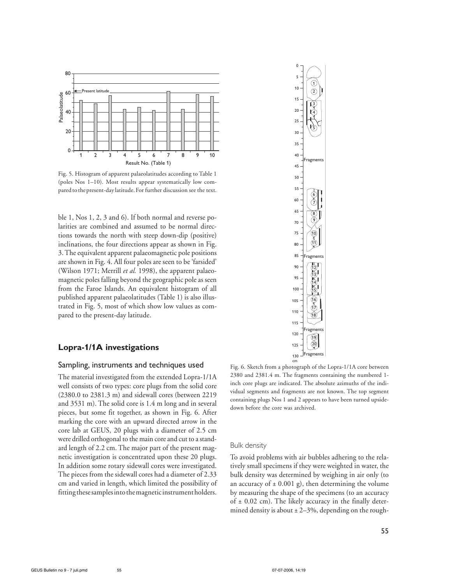

Fig. 5. Histogram of apparent palaeolatitudes according to Table 1 (poles Nos 1–10). Most results appear systematically low compared to the present-day latitude. For further discussion see the text.

ble 1, Nos 1, 2, 3 and 6). If both normal and reverse polarities are combined and assumed to be normal directions towards the north with steep down-dip (positive) inclinations, the four directions appear as shown in Fig. 3. The equivalent apparent palaeomagnetic pole positions are shown in Fig. 4. All four poles are seen to be 'farsided' (Wilson 1971; Merrill *et al.* 1998), the apparent palaeomagnetic poles falling beyond the geographic pole as seen from the Faroe Islands. An equivalent histogram of all published apparent palaeolatitudes (Table 1) is also illustrated in Fig. 5, most of which show low values as compared to the present-day latitude.

# **Lopra-1/1A investigations**

#### Sampling, instruments and techniques used

The material investigated from the extended Lopra-1/1A well consists of two types: core plugs from the solid core (2380.0 to 2381.3 m) and sidewall cores (between 2219 and 3531 m). The solid core is 1.4 m long and in several pieces, but some fit together, as shown in Fig. 6. After marking the core with an upward directed arrow in the core lab at GEUS, 20 plugs with a diameter of 2.5 cm were drilled orthogonal to the main core and cut to a standard length of 2.2 cm. The major part of the present magnetic investigation is concentrated upon these 20 plugs. In addition some rotary sidewall cores were investigated. The pieces from the sidewall cores had a diameter of 2.33 cm and varied in length, which limited the possibility of fitting these samples into the magnetic instrument holders.



cm Fig. 6. Sketch from a photograph of the Lopra-1/1A core between 2380 and 2381.4 m. The fragments containing the numbered 1 inch core plugs are indicated. The absolute azimuths of the individual segments and fragments are not known. The top segment containing plugs Nos 1 and 2 appears to have been turned upsidedown before the core was archived.

#### Bulk density

To avoid problems with air bubbles adhering to the relatively small specimens if they were weighted in water, the bulk density was determined by weighing in air only (to an accuracy of  $\pm$  0.001 g), then determining the volume by measuring the shape of the specimens (to an accuracy of  $\pm$  0.02 cm). The likely accuracy in the finally determined density is about  $\pm 2-3\%$ , depending on the rough-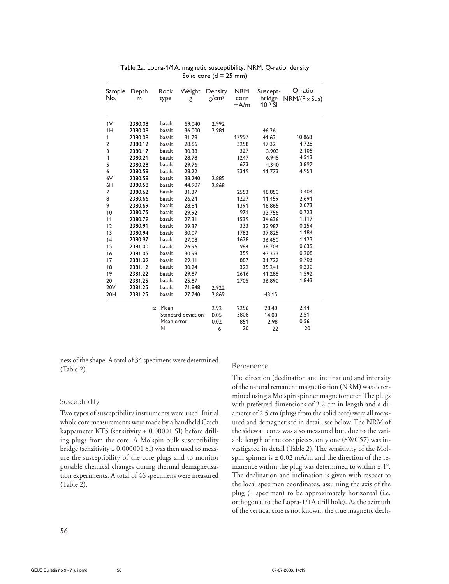| Sample<br>No.  | Depth<br>m |    | Rock<br>type | Weight<br>g        | Density<br>g/cm <sup>3</sup> | <b>NRM</b><br>corr<br>mA/m | Suscept-<br>bridge<br>$10^{-3}$ SI | Q-ratio<br>$NRM/(F \times Sus)$ |
|----------------|------------|----|--------------|--------------------|------------------------------|----------------------------|------------------------------------|---------------------------------|
| 1V             | 2380.08    |    | basalt       | 69.040             | 2.992                        |                            |                                    |                                 |
| 1H             | 2380.08    |    | basalt       | 36.000             | 2.981                        |                            | 46.26                              |                                 |
| 1              | 2380.08    |    | basalt       | 31.79              |                              | 17997                      | 41.62                              | 10.868                          |
| $\overline{2}$ | 2380.12    |    | basalt       | 28.66              |                              | 3258                       | 17.32                              | 4.728                           |
| 3              | 2380.17    |    | basalt       | 30.38              |                              | 327                        | 3.903                              | 2.105                           |
| 4              | 2380.21    |    | basalt       | 28.78              |                              | 1247                       | 6.945                              | 4.513                           |
| 5              | 2380.28    |    | basalt       | 29.76              |                              | 673                        | 4.340                              | 3.897                           |
| 6              | 2380.58    |    | basalt       | 28.22              |                              | 2319                       | 11.773                             | 4.951                           |
| 6V             | 2380.58    |    | basalt       | 38.240             | 2.885                        |                            |                                    |                                 |
| 6H             | 2380.58    |    | basalt       | 44.907             | 2.868                        |                            |                                    |                                 |
| 7              | 2380.62    |    | basalt       | 31.37              |                              | 2553                       | 18.850                             | 3.404                           |
| 8              | 2380.66    |    | basalt       | 26.24              |                              | 1227                       | 11.459                             | 2.691                           |
| 9              | 2380.69    |    | basalt       | 28.84              |                              | 1391                       | 16.865                             | 2.073                           |
| 10             | 2380.75    |    | basalt       | 29.92              |                              | 971                        | 33.756                             | 0.723                           |
| 11             | 2380.79    |    | basalt       | 27.31              |                              | 1539                       | 34.636                             | 1.117                           |
| 12             | 2380.91    |    | basalt       | 29.37              |                              | 333                        | 32.987                             | 0.254                           |
| 13             | 2380.94    |    | basalt       | 30.07              |                              | 1782                       | 37.825                             | 1.184                           |
| 14             | 2380.97    |    | basalt       | 27.08              |                              | 1628                       | 36.450                             | 1.123                           |
| 15             | 2381.00    |    | basalt       | 26.96              |                              | 984                        | 38.704                             | 0.639                           |
| 16             | 2381.05    |    | basalt       | 30.99              |                              | 359                        | 43.323                             | 0.208                           |
| 17             | 2381.09    |    | basalt       | 29.11              |                              | 887                        | 31.722                             | 0.703                           |
| 18             | 2381.12    |    | basalt       | 30.24              |                              | 322                        | 35.241                             | 0.230                           |
| 19             | 2381.22    |    | basalt       | 29.87              |                              | 2616                       | 41.288                             | 1.592                           |
| 20             | 2381.25    |    | basalt       | 25.87              |                              | 2705                       | 36.890                             | 1.843                           |
| <b>20V</b>     | 2381.25    |    | basalt       | 71.848             | 2.922                        |                            |                                    |                                 |
| 20H            | 2381.25    |    | basalt       | 27.740             | 2.869                        |                            | 43.15                              |                                 |
|                |            | a: | Mean         |                    | 2.92                         | 2256                       | 28.40                              | 2.44                            |
|                |            |    |              | Standard deviation | 0.05                         | 3808                       | 14.00                              | 2.51                            |
|                |            |    | Mean error   |                    | 0.02                         | 851                        | 2.98                               | 0.56                            |
|                |            |    | N            |                    | 6                            | 20                         | 22                                 | 20                              |

Table 2a. Lopra-1/1A: magnetic susceptibility, NRM, Q-ratio, density Solid core  $(d = 25$  mm)

ness of the shape. A total of 34 specimens were determined (Table 2).

#### Susceptibility

Two types of susceptibility instruments were used. Initial whole core measurements were made by a handheld Czech kappameter KT5 (sensitivity ± 0.00001 SI) before drilling plugs from the core. A Molspin bulk susceptibility bridge (sensitivity  $\pm$  0.000001 SI) was then used to measure the susceptibility of the core plugs and to monitor possible chemical changes during thermal demagnetisation experiments. A total of 46 specimens were measured (Table 2).

#### Remanence

The direction (declination and inclination) and intensity of the natural remanent magnetisation (NRM) was determined using a Molspin spinner magnetometer. The plugs with preferred dimensions of 2.2 cm in length and a diameter of 2.5 cm (plugs from the solid core) were all measured and demagnetised in detail, see below. The NRM of the sidewall cores was also measured but, due to the variable length of the core pieces, only one (SWC57) was investigated in detail (Table 2). The sensitivity of the Molspin spinner is  $\pm$  0.02 mA/m and the direction of the remanence within the plug was determined to within  $\pm 1^{\circ}$ . The declination and inclination is given with respect to the local specimen coordinates, assuming the axis of the plug (= specimen) to be approximately horizontal (i.e. orthogonal to the Lopra-1/1A drill hole). As the azimuth of the vertical core is not known, the true magnetic decli-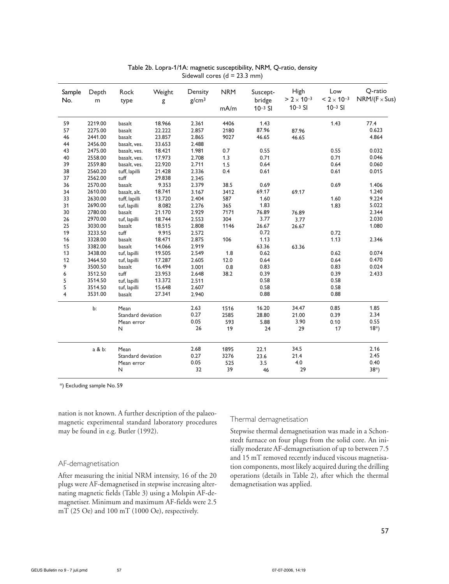| Sample<br>No.  | Depth<br>m | Rock<br>type       | Weight<br>g | Density<br>g/cm <sup>3</sup> | <b>NRM</b><br>mA/m | Suscept-<br>bridge<br>$10^{-3}$ SI | High<br>$> 2 \times 10^{-3}$<br>$10^{-3}$ SI | Low<br>$< 2 \times 10^{-3}$<br>$10^{-3}$ SI | Q-ratio<br>$NRM/(F \times Sus)$ |
|----------------|------------|--------------------|-------------|------------------------------|--------------------|------------------------------------|----------------------------------------------|---------------------------------------------|---------------------------------|
|                |            |                    |             |                              |                    |                                    |                                              |                                             |                                 |
| 59             | 2219.00    | basalt             | 18.966      | 2.361                        | 4406               | 1.43                               |                                              | 1.43                                        | 77.4                            |
| 57             | 2275.00    | basalt             | 22.222      | 2.857                        | 2180               | 87.96                              | 87.96                                        |                                             | 0.623                           |
| 46             | 2441.00    | basalt             | 23.857      | 2.865                        | 9027               | 46.65                              | 46.65                                        |                                             | 4.864                           |
| 44             | 2456.00    | basalt, ves.       | 33.653      | 2.488                        |                    |                                    |                                              |                                             |                                 |
| 43             | 2475.00    | basalt, ves.       | 18.421      | 1.981                        | 0.7                | 0.55                               |                                              | 0.55                                        | 0.032                           |
| 40             | 2558.00    | basalt, ves.       | 17.973      | 2.708                        | 1.3                | 0.71                               |                                              | 0.71                                        | 0.046                           |
| 39             | 2559.80    | basalt, ves.       | 22.920      | 2.711                        | 1.5                | 0.64                               |                                              | 0.64                                        | 0.060                           |
| 38             | 2560.20    | tuff, lapilli      | 21.428      | 2.336                        | 0.4                | 0.61                               |                                              | 0.61                                        | 0.015                           |
| 37             | 2562.00    | tuff               | 29.838      | 2.345                        |                    |                                    |                                              |                                             |                                 |
| 36             | 2570.00    | basalt             | 9.353       | 2.379                        | 38.5               | 0.69                               |                                              | 0.69                                        | 1.406                           |
| 34             | 2610.00    | basalt, alt.       | 18.741      | 3.167                        | 3412               | 69.17                              | 69.17                                        |                                             | 1.240                           |
| 33             | 2630.00    | tuff, lapilli      | 13.720      | 2.404                        | 587                | 1.60                               |                                              | 1.60                                        | 9.224                           |
| 31             | 2690.00    | tuf, lapilli       | 8.082       | 2.276                        | 365                | 1.83                               |                                              | 1.83                                        | 5.022                           |
| 30             | 2780.00    | basalt             | 21.170      | 2.929                        | 7171               | 76.89                              | 76.89                                        |                                             | 2.344                           |
| 26             | 2970.00    | tuf, lapilli       | 18.744      | 2.553                        | 304                | 3.77                               | 3.77                                         |                                             | 2.030                           |
| 25             | 3030.00    | basalt             | 18.515      | 2.808                        | 1146               | 26.67                              | 26.67                                        |                                             | 1.080                           |
| 19             | 3233.50    | tuff               | 9.915       | 2.572                        |                    | 0.72                               |                                              | 0.72                                        |                                 |
| 16             | 3328.00    | basalt             | 18.471      | 2.875                        | 106                | 1.13                               |                                              | 1.13                                        | 2.346                           |
| 15             | 3382.00    | basalt             | 14.066      | 2.919                        |                    | 63.36                              | 63.36                                        |                                             |                                 |
| 13             | 3438.00    | tuf, lapilli       | 19.505      | 2.549                        | 1.8                | 0.62                               |                                              | 0.62                                        | 0.074                           |
| 12             | 3464.50    | tuf, lapilli       | 17.287      | 2.605                        | 12.0               | 0.64                               |                                              | 0.64                                        | 0.470                           |
| 9              | 3500.50    | basalt             | 16.494      | 3.001                        | 0.8                | 0.83                               |                                              | 0.83                                        | 0.024                           |
| 6              | 3512.50    | tuff               | 23.953      | 2.648                        | 38.2               | 0.39                               |                                              | 0.39                                        | 2.433                           |
| 5              | 3514.50    | tuf, lapilli       | 13.372      | 2.511                        |                    | 0.58                               |                                              | 0.58                                        |                                 |
| 5              | 3514.50    | tuf, lapilli       | 15.648      | 2.607                        |                    | 0.58                               |                                              | 0.58                                        |                                 |
| $\overline{4}$ | 3531.00    | basalt             | 27.341      | 2.940                        |                    | 0.88                               |                                              | 0.88                                        |                                 |
|                | b:         | Mean               |             | 2.63                         | 1516               | 16.20                              | 34.47                                        | 0.85                                        | 1.85                            |
|                |            | Standard deviation |             | 0.27                         | 2585               | 28.80                              | 21.00                                        | 0.39                                        | 2.34                            |
|                |            | Mean error         |             |                              | 593                | 5.88                               | 3.90                                         | 0.10                                        | 0.55                            |
|                |            | $\mathsf{N}$       |             | 26                           | 19                 | 24                                 | 29                                           | 17                                          | $18*)$                          |
|                | a & b:     | Mean               |             | 2.68                         | 1895               | 22.1                               | 34.5                                         |                                             | 2.16                            |
|                |            | Standard deviation |             | 0.27                         | 3276               | 23.6                               | 21.4                                         |                                             | 2.45                            |
|                |            | Mean error         |             | 0.05                         | 525                | 3.5                                | 4.0                                          |                                             | 0.40                            |
|                |            | $\mathsf{N}$       |             | 32                           | 39                 | 46                                 | 29                                           |                                             | $38*)$                          |

Table 2b. Lopra-1/1A: magnetic susceptibility, NRM, Q-ratio, density Sidewall cores  $(d = 23.3 \text{ mm})$ 

\*) Excluding sample No. 59

nation is not known. A further description of the palaeomagnetic experimental standard laboratory procedures may be found in e.g. Butler (1992).

# AF-demagnetisation

After measuring the initial NRM intensity, 16 of the 20 plugs were AF-demagnetised in stepwise increasing alternating magnetic fields (Table 3) using a Molspin AF-demagnetiser. Minimum and maximum AF-fields were 2.5 mT (25 Oe) and 100 mT (1000 Oe), respectively.

# Thermal demagnetisation

Stepwise thermal demagnetisation was made in a Schonstedt furnace on four plugs from the solid core. An initially moderate AF-demagnetisation of up to between 7.5 and 15 mT removed recently induced viscous magnetisation components, most likely acquired during the drilling operations (details in Table 2), after which the thermal demagnetisation was applied.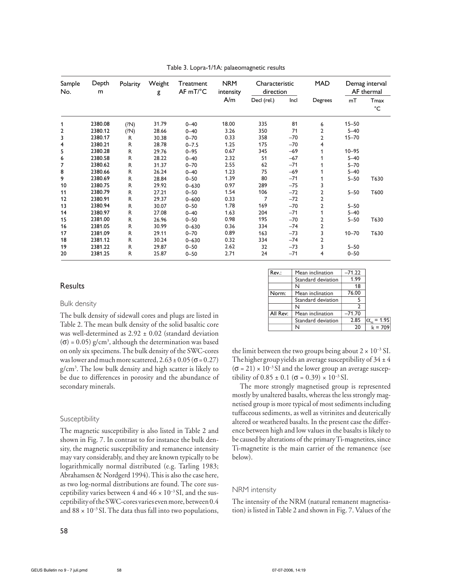| Sample<br>No. | Depth<br>m | Polarity     | Weight<br>g | Treatment<br>$AF mT$ <sup>°</sup> C | <b>NRM</b><br>intensity | Characteristic<br>direction |       | <b>MAD</b>     | Demag interval<br>AF thermal |                     |
|---------------|------------|--------------|-------------|-------------------------------------|-------------------------|-----------------------------|-------|----------------|------------------------------|---------------------|
|               |            |              |             |                                     | A/m                     | Decl (rel.)                 | Incl  | Degrees        | mT                           | Tmax<br>$^{\circ}C$ |
| 1             | 2380.08    | (?N)         | 31.79       | $0 - 40$                            | 18.00                   | 335                         | 81    | 6              | $15 - 50$                    |                     |
| 2             | 2380.12    | (2N)         | 28.66       | $0 - 40$                            | 3.26                    | 350                         | 71    | 2              | $5 - 40$                     |                     |
| 3             | 2380.17    | R            | 30.38       | $0 - 70$                            | 0.33                    | 358                         | $-70$ | $\overline{2}$ | $15 - 70$                    |                     |
| 4             | 2380.21    | $\mathsf{R}$ | 28.78       | $0 - 7.5$                           | 1.25                    | 175                         | $-70$ | 4              |                              |                     |
| 5             | 2380.28    | $\mathsf{R}$ | 29.76       | $0 - 95$                            | 0.67                    | 345                         | $-69$ |                | $10 - 95$                    |                     |
| 6             | 2380.58    | R            | 28.22       | $0 - 40$                            | 2.32                    | 51                          | $-67$ |                | $5 - 40$                     |                     |
| 7             | 2380.62    | $\mathsf{R}$ | 31.37       | $0 - 70$                            | 2.55                    | 62                          | $-71$ |                | $5 - 70$                     |                     |
| 8             | 2380.66    | R            | 26.24       | $0 - 40$                            | 1.23                    | 75                          | $-69$ |                | $5 - 40$                     |                     |
| 9             | 2380.69    | R            | 28.84       | $0 - 50$                            | 1.39                    | 80                          | $-71$ |                | $5 - 50$                     | T630                |
| 10            | 2380.75    | $\mathsf{R}$ | 29.92       | $0 - 630$                           | 0.97                    | 289                         | $-75$ | 3              |                              |                     |
| 11            | 2380.79    | $\mathsf{R}$ | 27.21       | $0 - 50$                            | 1.54                    | 106                         | $-72$ | 2              | $5 - 50$                     | T600                |
| 12            | 2380.91    | R            | 29.37       | $0 - 600$                           | 0.33                    | 7                           | $-72$ | 2              |                              |                     |
| 13            | 2380.94    | R            | 30.07       | $0 - 50$                            | 1.78                    | 169                         | $-70$ | $\overline{2}$ | $5 - 50$                     |                     |
| 14            | 2380.97    | R            | 27.08       | $0 - 40$                            | 1.63                    | 204                         | $-71$ |                | $5 - 40$                     |                     |
| 15            | 2381.00    | $\mathsf{R}$ | 26.96       | $0 - 50$                            | 0.98                    | 195                         | $-70$ | $\overline{2}$ | $5 - 50$                     | T630                |
| 16            | 2381.05    | $\mathsf{R}$ | 30.99       | $0 - 630$                           | 0.36                    | 334                         | $-74$ | $\overline{2}$ |                              |                     |
| 17            | 2381.09    | $\mathsf{R}$ | 29.11       | $0 - 70$                            | 0.89                    | 163                         | $-73$ | 3              | $10 - 70$                    | T630                |
| 18            | 2381.12    | R            | 30.24       | $0 - 630$                           | 0.32                    | 334                         | $-74$ | 2              |                              |                     |
| 19            | 2381.22    | R            | 29.87       | $0 - 50$                            | 2.62                    | 32                          | $-73$ | 3              | $5 - 50$                     |                     |
| 20            | 2381.25    | R            | 25.87       | $0 - 50$                            | 2.71                    | 24                          | $-71$ | 4              | $0 - 50$                     |                     |

Table 3. Lopra-1/1A: palaeomagnetic results

# **Results**

#### Bulk density

The bulk density of sidewall cores and plugs are listed in Table 2. The mean bulk density of the solid basaltic core was well-determined as 2.92 ± 0.02 (standard deviation  $(\sigma)$  = 0.05) g/cm<sup>3</sup>, although the determination was based on only six specimens. The bulk density of the SWC-cores was lower and much more scattered,  $2.63 \pm 0.05$  ( $\sigma$  = 0.27) g/cm3 . The low bulk density and high scatter is likely to be due to differences in porosity and the abundance of secondary minerals.

#### Susceptibility

The magnetic susceptibility is also listed in Table 2 and shown in Fig. 7. In contrast to for instance the bulk density, the magnetic susceptibility and remanence intensity may vary considerably, and they are known typically to be logarithmically normal distributed (e.g. Tarling 1983; Abrahamsen & Nordgerd 1994). This is also the case here, as two log-normal distributions are found. The core susceptibility varies between 4 and  $46 \times 10^{-3}$  SI, and the susceptibility of the SWC-cores varies even more, between 0.4 and  $88 \times 10^{-3}$  SI. The data thus fall into two populations,

the limit between the two groups being about  $2 \times 10^{-3}$  SI. The higher group yields an average susceptibility of  $34 \pm 4$  $(\sigma = 21) \times 10^{-3}$  SI and the lower group an average susceptibility of  $0.85 \pm 0.1$  ( $\sigma = 0.39$ ) ×  $10^{-3}$  SI.

Mean inclination Standard deviation  $-71.22$ 1.99 18 76.00 5 2 –71.70 2.85 20

 $\alpha_{\text{cm}} = 1.95$  $k = 709$ 

<u>N</u><br>Mean inclination Standard deviation

Mean inclination Standard deviation

N

N

N

Rev.:

Norm:

All Rev:

The more strongly magnetised group is represented mostly by unaltered basalts, whereas the less strongly magnetised group is more typical of most sediments including tuffaceous sediments, as well as vitrinites and deuterically altered or weathered basalts. In the present case the difference between high and low values in the basalts is likely to be caused by alterations of the primary Ti-magnetites, since Ti-magnetite is the main carrier of the remanence (see below).

#### NRM intensity

The intensity of the NRM (natural remanent magnetisation) is listed in Table 2 and shown in Fig. 7. Values of the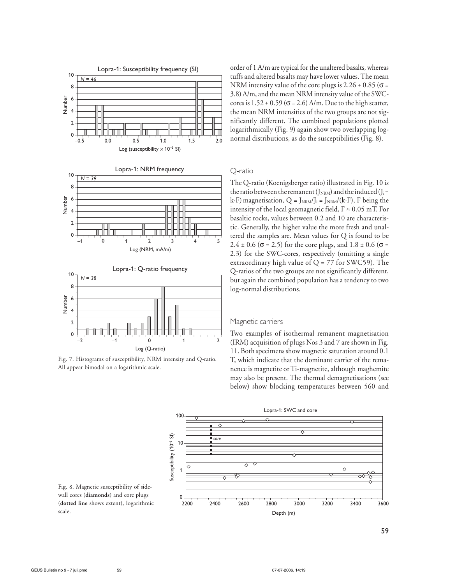

Fig. 7. Histograms of susceptibility, NRM intensity and Q-ratio. All appear bimodal on a logarithmic scale.

order of 1 A/m are typical for the unaltered basalts, whereas tuffs and altered basalts may have lower values. The mean NRM intensity value of the core plugs is  $2.26 \pm 0.85$  ( $\sigma$  = 3.8) A/m, and the mean NRM intensity value of the SWCcores is  $1.52 \pm 0.59$  ( $\sigma$  = 2.6) A/m. Due to the high scatter, the mean NRM intensities of the two groups are not significantly different. The combined populations plotted logarithmically (Fig. 9) again show two overlapping lognormal distributions, as do the susceptibilities (Fig. 8).

## Q-ratio

The Q-ratio (Koenigsberger ratio) illustrated in Fig. 10 is the ratio between the remanent ( $J_{NRM}$ ) and the induced ( $J_i =$ k·F) magnetisation,  $Q = J_{NRM}/J_i = J_{NRM}/(k \cdot F)$ , F being the intensity of the local geomagnetic field,  $F \approx 0.05$  mT. For basaltic rocks, values between 0.2 and 10 are characteristic. Generally, the higher value the more fresh and unaltered the samples are. Mean values for Q is found to be  $2.4 \pm 0.6$  ( $\sigma$  = 2.5) for the core plugs, and  $1.8 \pm 0.6$  ( $\sigma$  = 2.3) for the SWC-cores, respectively (omitting a single extraordinary high value of  $Q = 77$  for SWC59). The Q-ratios of the two groups are not significantly different, but again the combined population has a tendency to two log-normal distributions.

#### Magnetic carriers

Two examples of isothermal remanent magnetisation (IRM) acquisition of plugs Nos 3 and 7 are shown in Fig. 11. Both specimens show magnetic saturation around 0.1 T, which indicate that the dominant carrier of the remanence is magnetite or Ti-magnetite, although maghemite may also be present. The thermal demagnetisations (see below) show blocking temperatures between 560 and



Fig. 8. Magnetic susceptibility of sidewall cores (**diamonds**) and core plugs (**dotted line** shows extent), logarithmic scale.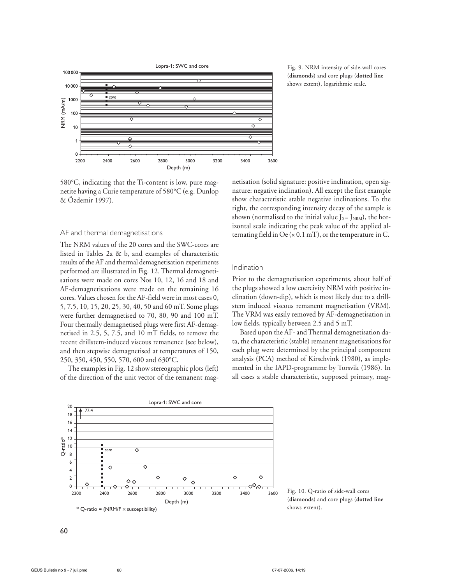

(**diamonds**) and core plugs (**dotted line** shows extent), logarithmic scale.

## 580°C, indicating that the Ti-content is low, pure magnetite having a Curie temperature of 580°C (e.g. Dunlop & Özdemir 1997).

#### AF and thermal demagnetisations

The NRM values of the 20 cores and the SWC-cores are listed in Tables 2a & b, and examples of characteristic results of the AF and thermal demagnetisation experiments performed are illustrated in Fig. 12. Thermal demagnetisations were made on cores Nos 10, 12, 16 and 18 and AF-demagnetisations were made on the remaining 16 cores. Values chosen for the AF-field were in most cases 0, 5, 7.5, 10, 15, 20, 25, 30, 40, 50 and 60 mT. Some plugs were further demagnetised to 70, 80, 90 and 100 mT. Four thermally demagnetised plugs were first AF-demagnetised in 2.5, 5, 7.5, and 10 mT fields, to remove the recent drillstem-induced viscous remanence (see below), and then stepwise demagnetised at temperatures of 150, 250, 350, 450, 550, 570, 600 and 630°C.

The examples in Fig. 12 show stereographic plots (left) of the direction of the unit vector of the remanent magnetisation (solid signature: positive inclination, open signature: negative inclination). All except the first example show characteristic stable negative inclinations. To the right, the corresponding intensity decay of the sample is shown (normalised to the initial value  $J_0 = J_{NRM}$ ), the horizontal scale indicating the peak value of the applied alternating field in  $Oe(x 0.1 mT)$ , or the temperature in C.

#### Inclination

Prior to the demagnetisation experiments, about half of the plugs showed a low coercivity NRM with positive inclination (down-dip), which is most likely due to a drillstem induced viscous remanent magnetisation (VRM). The VRM was easily removed by AF-demagnetisation in low fields, typically between 2.5 and 5 mT.

Based upon the AF- and Thermal demagnetisation data, the characteristic (stable) remanent magnetisations for each plug were determined by the principal component analysis (PCA) method of Kirschvink (1980), as implemented in the IAPD-programme by Torsvik (1986). In all cases a stable characteristic, supposed primary, mag-



Fig. 10. Q-ratio of side-wall cores (**diamonds**) and core plugs (**dotted line** shows extent).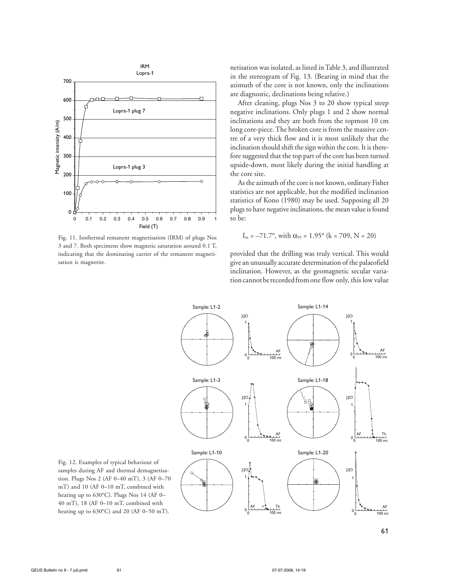

Fig. 11. Isothermal remanent magnetisation (IRM) of plugs Nos 3 and 7. Both specimens show magnetic saturation around 0.1 T, indicating that the dominating carrier of the remanent magnetisation is magnetite.

netisation was isolated, as listed in Table 3, and illustrated in the stereogram of Fig. 13. (Bearing in mind that the azimuth of the core is not known, only the inclinations are diagnostic, declinations being relative.)

After cleaning, plugs Nos 3 to 20 show typical steep negative inclinations. Only plugs 1 and 2 show normal inclinations and they are both from the topmost 10 cm long core-piece. The broken core is from the massive centre of a very thick flow and it is most unlikely that the inclination should shift the sign within the core. It is therefore suggested that the top part of the core has been turned upside-down, most likely during the initial handling at the core site.

As the azimuth of the core is not known, ordinary Fisher statistics are not applicable, but the modified inclination statistics of Kono (1980) may be used. Supposing all 20 plugs to have negative inclinations, the mean value is found to be:

$$
I_m = -71.7^\circ
$$
, with  $\alpha_{95} = 1.95^\circ$  (k = 709, N = 20)

provided that the drilling was truly vertical. This would give an unusually accurate determination of the palaeofield inclination. However, as the geomagnetic secular variation cannot be recorded from one flow only, this low value



Fig. 12. Examples of typical behaviour of samples during AF and thermal demagnetisation. Plugs Nos 2 (AF 0–40 mT), 3 (AF 0–70 mT) and 10 (AF 0–10 mT, combined with heating up to 630°C). Plugs Nos 14 (AF 0– 40 mT), 18 (AF 0–10 mT, combined with heating up to 630°C) and 20 (AF 0–50 mT).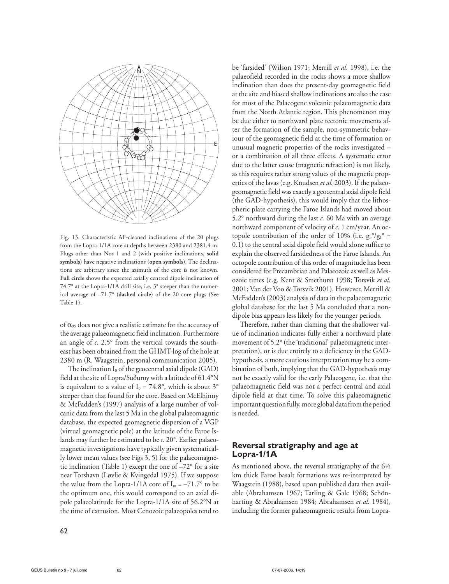

Fig. 13. Characteristic AF-cleaned inclinations of the 20 plugs from the Lopra-1/1A core at depths between 2380 and 2381.4 m. Plugs other than Nos 1 and 2 (with positive inclinations, **solid symbols**) have negative inclinations (**open symbols**). The declinations are arbitrary since the azimuth of the core is not known. **Full circle** shows the expected axially centred dipole inclination of 74.7° at the Lopra-1/1A drill site, i.e. 3° steeper than the numerical average of –71.7° (**dashed circle**) of the 20 core plugs (See Table 1).

of  $\alpha_{95}$  does not give a realistic estimate for the accuracy of the average palaeomagnetic field inclination. Furthermore an angle of *c.* 2.5° from the vertical towards the southeast has been obtained from the GHMT-log of the hole at 2380 m (R. Waagstein, personal communication 2005).

The inclination  $I_0$  of the geocentral axial dipole (GAD) field at the site of Lopra/Suðuroy with a latitude of 61.4°N is equivalent to a value of  $I_0 = 74.8$ °, which is about 3° steeper than that found for the core. Based on McElhinny & McFadden's (1997) analysis of a large number of volcanic data from the last 5 Ma in the global palaeomagntic database, the expected geomagnetic dispersion of a VGP (virtual geomagnetic pole) at the latitude of the Faroe Islands may further be estimated to be *c.* 20°. Earlier palaeomagnetic investigations have typically given systematically lower mean values (see Figs 3, 5) for the palaeomagnetic inclination (Table 1) except the one of  $-72^{\circ}$  for a site near Torshavn (Løvlie & Kvingedal 1975). If we suppose the value from the Lopra-1/1A core of  $I_m = -71.7$ ° to be the optimum one, this would correspond to an axial dipole palaeolatitude for the Lopra-1/1A site of 56.2°N at the time of extrusion. Most Cenozoic palaeopoles tend to be 'farsided' (Wilson 1971; Merrill *et al.* 1998), i.e. the palaeofield recorded in the rocks shows a more shallow inclination than does the present-day geomagnetic field at the site and biased shallow inclinations are also the case for most of the Palaeogene volcanic palaeomagnetic data from the North Atlantic region. This phenomenon may be due either to northward plate tectonic movements after the formation of the sample, non-symmetric behaviour of the geomagnetic field at the time of formation or unusual magnetic properties of the rocks investigated – or a combination of all three effects. A systematic error due to the latter cause (magnetic refraction) is not likely, as this requires rather strong values of the magnetic properties of the lavas (e.g. Knudsen *et al.* 2003). If the palaeogeomagnetic field was exactly a geocentral axial dipole field (the GAD-hypothesis), this would imply that the lithospheric plate carrying the Faroe Islands had moved about 5.2° northward during the last *c.* 60 Ma with an average northward component of velocity of *c*. 1 cm/year. An octopole contribution of the order of 10% (i.e.  $g_3^{\circ}/g_1^{\circ}$  = 0.1) to the central axial dipole field would alone suffice to explain the observed farsidedness of the Faroe Islands. An octopole contribution of this order of magnitude has been considered for Precambrian and Palaeozoic as well as Mesozoic times (e.g. Kent & Smethurst 1998; Torsvik *et al.* 2001; Van der Voo & Torsvik 2001). However, Merrill & McFadden's (2003) analysis of data in the palaeomagnetic global database for the last 5 Ma concluded that a nondipole bias appears less likely for the younger periods.

Therefore, rather than claming that the shallower value of inclination indicates fully either a northward plate movement of 5.2° (the 'traditional' palaeomagnetic interpretation), or is due entirely to a deficiency in the GADhypothesis, a more cautious interpretation may be a combination of both, implying that the GAD-hypothesis may not be exactly valid for the early Palaeogene, i.e. that the palaeomagnetic field was not a perfect central and axial dipole field at that time. To solve this palaeomagnetic important question fully, more global data from the period is needed.

# **Reversal stratigraphy and age at Lopra-1/1A**

As mentioned above, the reversal stratigraphy of the 6½ km thick Faroe basalt formations was re-interpreted by Waagstein (1988), based upon published data then available (Abrahamsen 1967; Tarling & Gale 1968; Schönharting & Abrahamsen 1984; Abrahamsen *et al.* 1984), including the former palaeomagnetic results from Lopra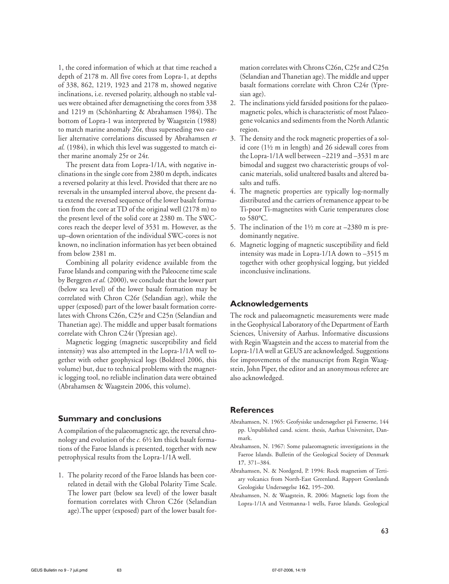1, the cored information of which at that time reached a depth of 2178 m. All five cores from Lopra-1, at depths of 338, 862, 1219, 1923 and 2178 m, showed negative inclinations, i.e. reversed polarity, although no stable values were obtained after demagnetising the cores from 338 and 1219 m (Schönharting & Abrahamsen 1984). The bottom of Lopra-1 was interpreted by Waagstein (1988) to match marine anomaly 26r, thus superseding two earlier alternative correlations discussed by Abrahamsen *et al.* (1984), in which this level was suggested to match either marine anomaly 25r or 24r.

The present data from Lopra-1/1A, with negative inclinations in the single core from 2380 m depth, indicates a reversed polarity at this level. Provided that there are no reversals in the unsampled interval above, the present data extend the reversed sequence of the lower basalt formation from the core at TD of the original well (2178 m) to the present level of the solid core at 2380 m. The SWCcores reach the deeper level of 3531 m. However, as the up–down orientation of the individual SWC-cores is not known, no inclination information has yet been obtained from below 2381 m.

Combining all polarity evidence available from the Faroe Islands and comparing with the Paleocene time scale by Berggren *et al.* (2000), we conclude that the lower part (below sea level) of the lower basalt formation may be correlated with Chron C26r (Selandian age), while the upper (exposed) part of the lower basalt formation correlates with Chrons C26n, C25r and C25n (Selandian and Thanetian age). The middle and upper basalt formations correlate with Chron C24r (Ypresian age).

Magnetic logging (magnetic susceptibility and field intensity) was also attempted in the Lopra-1/1A well together with other geophysical logs (Boldreel 2006, this volume) but, due to technical problems with the magnetic logging tool, no reliable inclination data were obtained (Abrahamsen & Waagstein 2006, this volume).

# **Summary and conclusions**

A compilation of the palaeomagnetic age, the reversal chronology and evolution of the *c.* 6½ km thick basalt formations of the Faroe Islands is presented, together with new petrophysical results from the Lopra-1/1A well.

1. The polarity record of the Faroe Islands has been correlated in detail with the Global Polarity Time Scale. The lower part (below sea level) of the lower basalt formation correlates with Chron C26r (Selandian age).The upper (exposed) part of the lower basalt for-

mation correlates with Chrons C26n, C25r and C25n (Selandian and Thanetian age). The middle and upper basalt formations correlate with Chron C24r (Ypresian age).

- 2. The inclinations yield farsided positions for the palaeomagnetic poles, which is characteristic of most Palaeogene volcanics and sediments from the North Atlantic region.
- 3. The density and the rock magnetic properties of a solid core (1½ m in length) and 26 sidewall cores from the Lopra-1/1A well between –2219 and –3531 m are bimodal and suggest two characteristic groups of volcanic materials, solid unaltered basalts and altered basalts and tuffs.
- 4. The magnetic properties are typically log-normally distributed and the carriers of remanence appear to be Ti-poor Ti-magnetites with Curie temperatures close to 580°C.
- 5. The inclination of the 1½ m core at –2380 m is predominantly negative.
- 6. Magnetic logging of magnetic susceptibility and field intensity was made in Lopra-1/1A down to –3515 m together with other geophysical logging, but yielded inconclusive inclinations.

# **Acknowledgements**

The rock and palaeomagnetic measurements were made in the Geophysical Laboratory of the Department of Earth Sciences, University of Aarhus. Informative discussions with Regin Waagstein and the access to material from the Lopra-1/1A well at GEUS are acknowledged. Suggestions for improvements of the manuscript from Regin Waagstein, John Piper, the editor and an anonymous referee are also acknowledged.

## **References**

- Abrahamsen, N. 1965: Geofysiske undersøgelser på Færøerne, 144 pp. Unpublished cand. scient. thesis, Aarhus Universitet, Danmark.
- Abrahamsen, N. 1967: Some palaeomagnetic investigations in the Faeroe Islands. Bulletin of the Geological Society of Denmark **17**, 371–384.
- Abrahamsen, N. & Nordgerd, P. 1994: Rock magnetism of Tertiary volcanics from North-East Greenland. Rapport Grønlands Geologiske Undersøgelse **162**, 195*–*200.
- Abrahamsen, N. & Waagstein, R. 2006: Magnetic logs from the Lopra-1/1A and Vestmanna-1 wells, Faroe Islands. Geological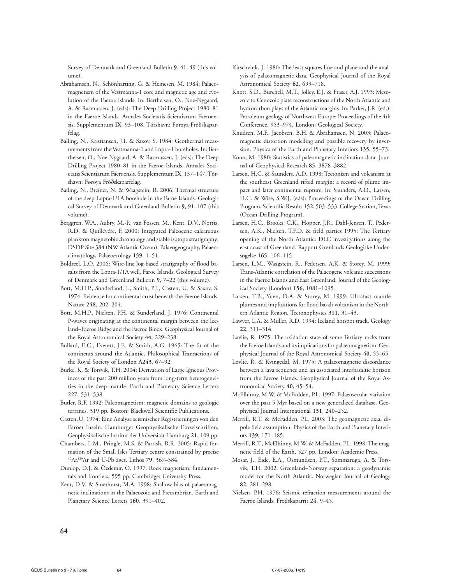Survey of Denmark and Greenland Bulletin **9**, 41–49 (this volume)**.**

- Abrahamsen, N., Schönharting, G. & Heinesen, M. 1984: Palaeomagnetism of the Vestmanna-1 core and magnetic age and evolution of the Faeroe Islands. In: Berthelsen, O., Noe-Nygaard, A. & Rasmussen, J. (eds): The Deep Drilling Project 1980–81 in the Faeroe Islands. Annales Societatis Scientiarum Faeroensis, Supplementum **IX**, 93–108. Tórshavn: Føroya Fróðskaparfelag.
- Balling, N., Kristiansen, J.I. & Saxov, S. 1984: Geothermal measurements from the Vestmanna-1 and Lopra-1 boreholes. In: Berthelsen, O., Noe-Nygaard, A. & Rasmussen, J. (eds): The Deep Drilling Project 1980–81 in the Faeroe Islands. Annales Societatis Scientiarum Faeroensis, Supplementum **IX**, 137–147. Tórshavn: Føroya Fróðskaparfelag.
- Balling, N., Breiner, N. & Waagstein, R. 2006: Thermal structure of the deep Lopra-1/1A borehole in the Faroe Islands. Geological Survey of Denmark and Greenland Bulletin **9**, 91–107 (this volume).
- Berggren, W.A., Aubry, M.-P., van Fossen, M., Kent, D.V., Norris, R.D. & Quillévéré, F. 2000: Integrated Paleocene calcareous plankton magnetobiochronology and stable isotope stratigraphy: DSDP Site 384 (NW Atlantic Ocean). Palaeogeography, Palaeoclimatology, Palaeoecology **159**, 1–51.
- Boldreel, L.O. 2006: Wire-line log-based stratigraphy of flood basalts from the Lopra-1/1A well, Faroe Islands. Geological Survey of Denmark and Greenland Bulletin **9**, 7–22 (this volume).
- Bott, M.H.P., Sunderland, J., Smith, P.J., Casten, U. & Saxov, S. 1974: Evidence for continental crust beneath the Faeroe Islands. Nature **248**, 202–204.
- Bott, M.H.P., Nielsen, P.H. & Sunderland, J. 1976: Continental P-waves originating at the continental margin between the Iceland–Faeroe Ridge and the Faeroe Block. Geophysical Journal of the Royal Astronomical Society **44**, 229–238.
- Bullard, E.C., Everett, J.E. & Smith, A.G. 1965: The fit of the continents around the Atlantic. Philosophical Transactions of the Royal Society of London **A243**, 67–92.
- Burke, K. & Torsvik, T.H. 2004: Derivation of Large Igneous Provinces of the past 200 million years from long-term heterogeneities in the deep mantle. Earth and Planetary Science Letters **227**, 531–538.
- Butler, R.F. 1992: Paleomagnetism: magnetic domains to geologic terranes, 319 pp. Boston: Blackwell Scientific Publications.
- Casten,U. 1974: Eine Analyse seismischer Registrierungen von den Färöer Inseln. Hamburger Geophysikalische Einzelschriften, Geophysikalische Institut der Universität Hamburg **21**, 109 pp.
- Chambers, L.M., Pringle, M.S. & Parrish, R.R. 2005: Rapid formation of the Small Isles Tertiary centre constrained by precise 40Ar/39Ar and U-Pb ages. Lithos **79**, 367–384.
- Dunlop, D.J. & Özdemir, Ö. 1997: Rock magnetism: fundamentals and frontiers, 595 pp. Cambridge: University Press.
- Kent, D.V. & Smethurst, M.A. 1998: Shallow bias of palaeomagnetic inclinations in the Palaeozoic and Precambrian. Earth and Planetary Science Letters **160**, 391–402.
- Kirschvink, J. 1980: The least squares line and plane and the analysis of palaeomagnetic data. Geophysical Journal of the Royal Astronomical Society **62**, 699–718.
- Knott, S.D., Burchell, M.T., Jolley, E.J. & Fraser, A.J. 1993: Mesozoic to Cenozoic plate reconstructions of the North Atlantic and hydrocarbon plays of the Atlantic margins. In: Parker, J.R. (ed.): Petroleum geology of Northwest Europe: Proceedings of the 4th Conference, 953–974. London: Geological Society.
- Knudsen, M.F., Jacobsen, B.H. & Abrahamsen, N. 2003: Palaeomagnetic distortion modelling and possible recovery by inversion. Physics of the Earth and Planetary Interiors **135**, 55–73.
- Kono, M. 1980: Statistics of paleomagnetic inclination data. Journal of Geophysical Research **85**, 3878–3882.
- Larsen, H.C. & Saunders, A.D. 1998: Tectonism and volcanism at the southeast Greenland rifted margin: a record of plume impact and later continental rupture. In: Saunders, A.D., Larsen, H.C. & Wise, S.W.J. (eds): Proceedings of the Ocean Drilling Program, Scientific Results **152**, 503–533. College Station, Texas (Ocean Drilling Program).
- Larsen, H.C., Brooks, C.K., Hopper, J.R., Dahl-Jensen, T., Pedersen, A.K., Nielsen, T.F.D. & field parties 1995: The Tertiary opening of the North Atlantic: DLC investigations along the east coast of Greenland. Rapport Grønlands Geologiske Undersøgelse **165**, 106–115.
- Larsen, L.M., Waagstein, R., Pedersen, A.K. & Storey, M. 1999: Trans-Atlantic correlation of the Palaeogene volcanic successions in the Faeroe Islands and East Greenland. Journal of the Geological Society (London) **156**, 1081–1095.
- Larsen, T.B., Yuen, D.A. & Storey, M. 1999: Ultrafast mantle plumes and implications for flood basalt volcanism in the Northern Atlantic Region. Tectonophysics **311**, 31–43.
- Lawver, L.A. & Muller, R.D. 1994: Iceland hotspot track. Geology **22**, 311–314.
- Løvlie, R. 1975: The oxidation state of some Tertiary rocks from the Faeroe Islands and its implications for palaeomagnetism. Geophysical Journal of the Royal Astronomical Society **40**, 55–65.
- Løvlie, R. & Kvingedal, M. 1975: A palaeomagnetic discordance between a lava sequence and an associated interbasaltic horizon from the Faeroe Islands. Geophysical Journal of the Royal Astronomical Society **40**, 45–54.
- McElhinny, M.W. & McFadden, P.L. 1997: Palaeosecular variation over the past 5 Myr based on a new generalized database. Geophysical Journal International **131**, 240–252.
- Merrill, R.T. & McFadden, P.L. 2003: The geomagnetic axial dipole field assumption. Physics of the Earth and Planetary Interiors **139**, 171–185.
- Merrill, R.T., McElhinny, M.W. & McFadden, P.L. 1998: The magnetic field of the Earth, 527 pp. London: Academic Press.
- Mosar, J., Eide, E.A., Osmundsen, P.T., Sommaruga, A. & Torsvik, T.H. 2002: Greenland–Norway separation: a geodynamic model for the North Atlantic. Norwegian Journal of Geology **82**, 281–298.
- Nielsen, P.H. 1976: Seismic refraction measurements around the Faeroe Islands. Frodskaparrit **24**, 9–45.